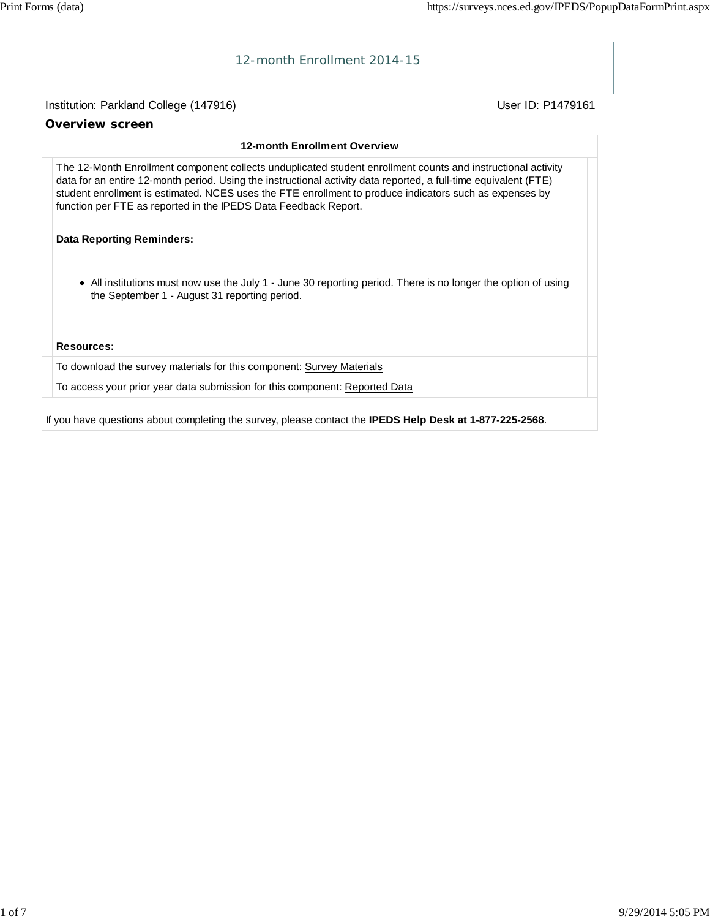

If you have questions about completing the survey, please contact the **IPEDS Help Desk at 1-877-225-2568**.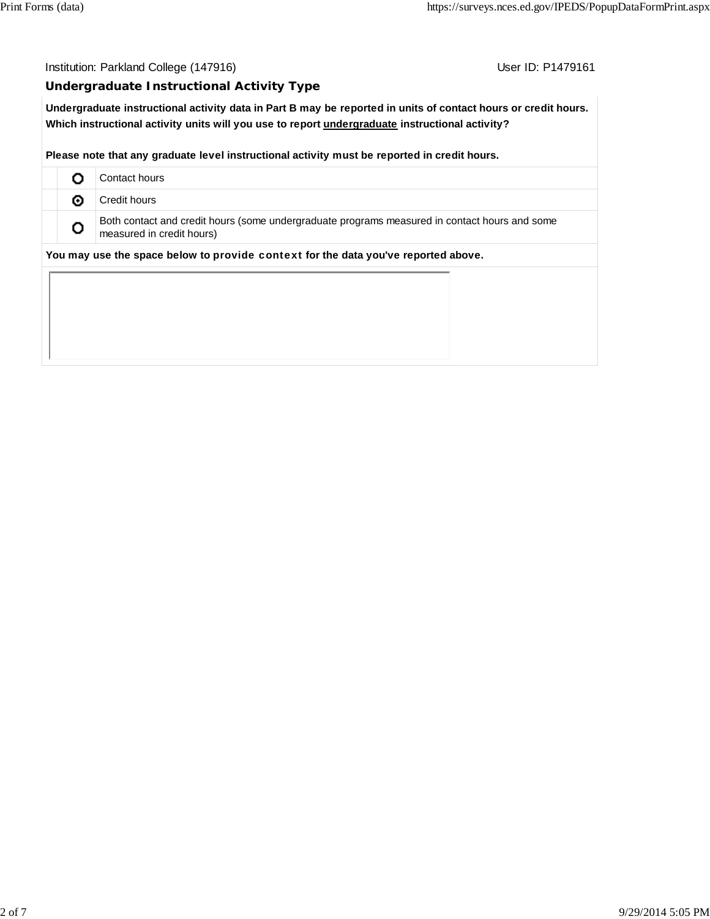Institution: Parkland College (147916) Contact College (147916)

#### **Undergraduate Instructional Activity Type**

**Undergraduate instructional activity data in Part B may be reported in units of contact hours or credit hours. Which instructional activity units will you use to report undergraduate instructional activity?**

**Please note that any graduate level instructional activity must be reported in credit hours.**

|                                                                                    |   | Contact hours                                                                                                              |  |  |  |  |
|------------------------------------------------------------------------------------|---|----------------------------------------------------------------------------------------------------------------------------|--|--|--|--|
|                                                                                    | ⊙ | Credit hours                                                                                                               |  |  |  |  |
|                                                                                    | o | Both contact and credit hours (some undergraduate programs measured in contact hours and some<br>measured in credit hours) |  |  |  |  |
| You may use the space below to provide context for the data you've reported above. |   |                                                                                                                            |  |  |  |  |
|                                                                                    |   |                                                                                                                            |  |  |  |  |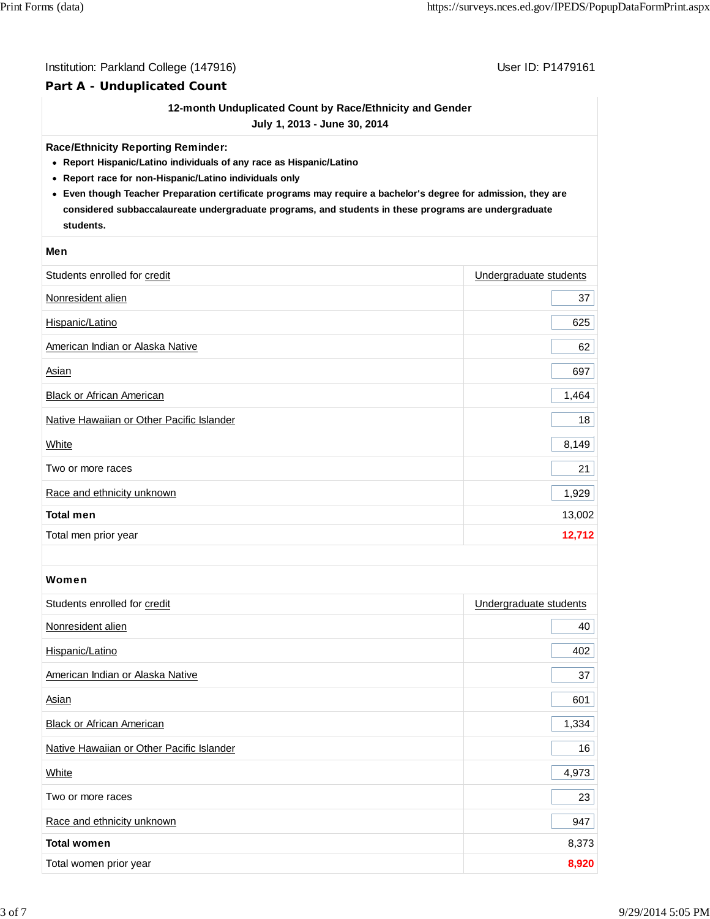#### Institution: Parkland College (147916) Contract College (147916)

### **Part A - Unduplicated Count**

#### **12-month Unduplicated Count by Race/Ethnicity and Gender**

**July 1, 2013 - June 30, 2014**

#### **Race/Ethnicity Reporting Reminder:**

- **Report Hispanic/Latino individuals of any race as Hispanic/Latino**
- **Report race for non-Hispanic/Latino individuals only**
- **Even though Teacher Preparation certificate programs may require a bachelor's degree for admission, they are considered subbaccalaureate undergraduate programs, and students in these programs are undergraduate students.**

#### **Men**

| Students enrolled for credit              | Undergraduate students |
|-------------------------------------------|------------------------|
| Nonresident alien                         | 37                     |
| Hispanic/Latino                           | 625                    |
| American Indian or Alaska Native          | 62                     |
| Asian                                     | 697                    |
| Black or African American                 | 1,464                  |
| Native Hawaiian or Other Pacific Islander | 18                     |
| <b>White</b>                              | 8,149                  |
| Two or more races                         | 21                     |
| Race and ethnicity unknown                | 1,929                  |
| <b>Total men</b>                          | 13,002                 |
| Total men prior year                      | 12,712                 |

#### Women

| Students enrolled for credit              | Undergraduate students |
|-------------------------------------------|------------------------|
| Nonresident alien                         | 40                     |
| Hispanic/Latino                           | 402                    |
| American Indian or Alaska Native          | 37                     |
| Asian                                     | 601                    |
| <b>Black or African American</b>          | 1,334                  |
| Native Hawaiian or Other Pacific Islander | 16                     |
| White                                     | 4,973                  |
| Two or more races                         | 23                     |
| Race and ethnicity unknown                | 947                    |
| <b>Total women</b>                        | 8,373                  |
| Total women prior year                    | 8,920                  |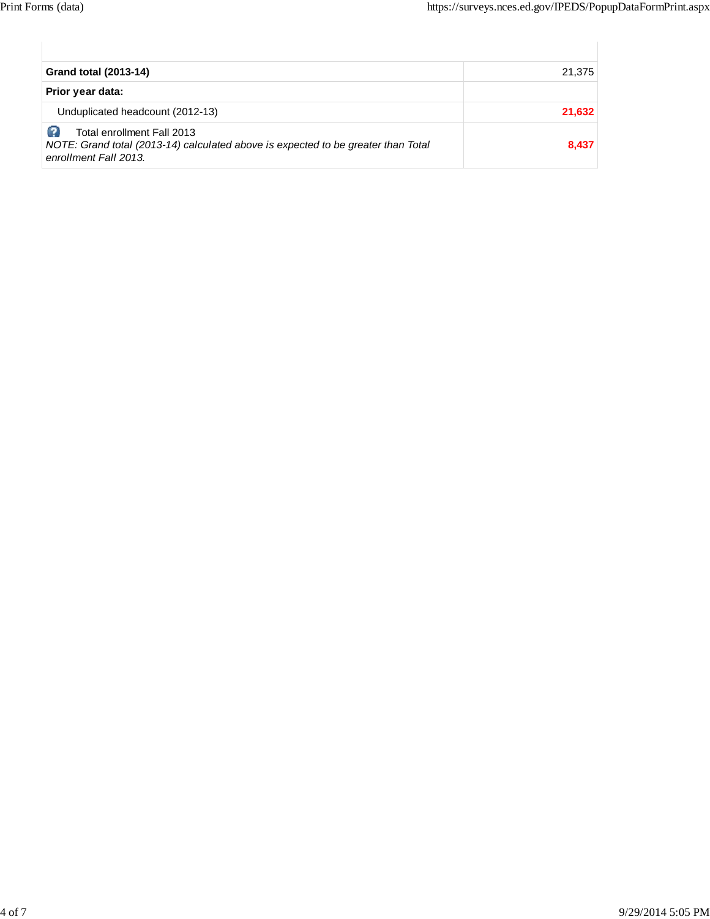| <b>Grand total (2013-14)</b>                                                                                                             | 21,375 |
|------------------------------------------------------------------------------------------------------------------------------------------|--------|
| Prior year data:                                                                                                                         |        |
| Unduplicated headcount (2012-13)                                                                                                         | 21,632 |
| Total enrollment Fall 2013<br>NOTE: Grand total (2013-14) calculated above is expected to be greater than Total<br>enrollment Fall 2013. | 8,437  |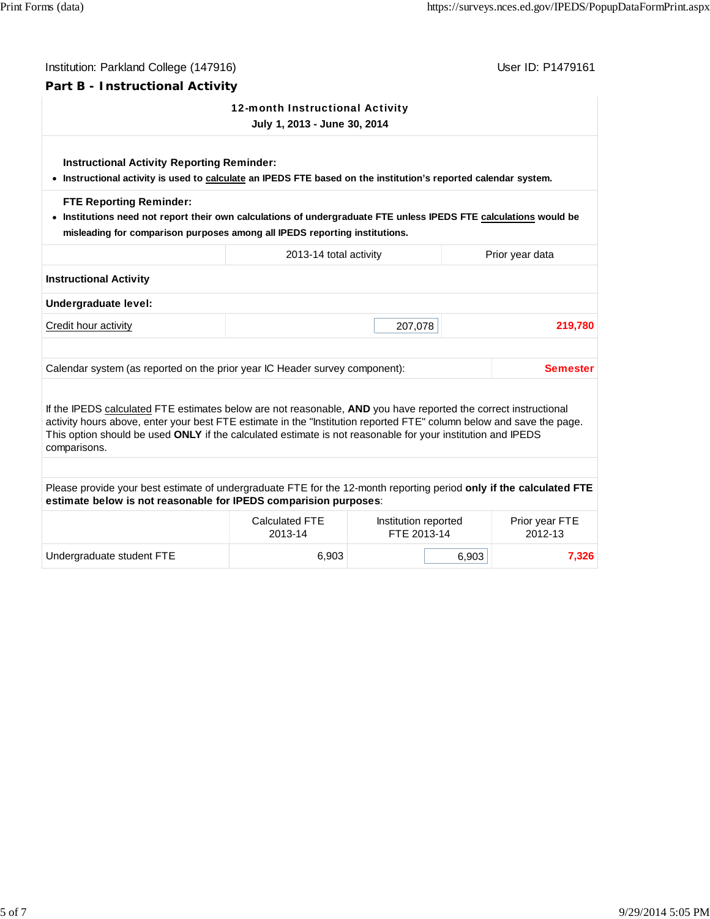| Institution: Parkland College (147916)                                                                                                                                                                                                                                                                                                                                 |                                  |                                     |       | User ID: P1479161         |  |
|------------------------------------------------------------------------------------------------------------------------------------------------------------------------------------------------------------------------------------------------------------------------------------------------------------------------------------------------------------------------|----------------------------------|-------------------------------------|-------|---------------------------|--|
| Part B - Instructional Activity                                                                                                                                                                                                                                                                                                                                        |                                  |                                     |       |                           |  |
| 12-month Instructional Activity<br>July 1, 2013 - June 30, 2014                                                                                                                                                                                                                                                                                                        |                                  |                                     |       |                           |  |
| <b>Instructional Activity Reporting Reminder:</b><br>. Instructional activity is used to calculate an IPEDS FTE based on the institution's reported calendar system.                                                                                                                                                                                                   |                                  |                                     |       |                           |  |
| <b>FTE Reporting Reminder:</b><br>. Institutions need not report their own calculations of undergraduate FTE unless IPEDS FTE calculations would be<br>misleading for comparison purposes among all IPEDS reporting institutions.                                                                                                                                      |                                  |                                     |       |                           |  |
|                                                                                                                                                                                                                                                                                                                                                                        | 2013-14 total activity           |                                     |       | Prior year data           |  |
| <b>Instructional Activity</b>                                                                                                                                                                                                                                                                                                                                          |                                  |                                     |       |                           |  |
| Undergraduate level:                                                                                                                                                                                                                                                                                                                                                   |                                  |                                     |       |                           |  |
| Credit hour activity                                                                                                                                                                                                                                                                                                                                                   |                                  | 207,078                             |       | 219,780                   |  |
| Calendar system (as reported on the prior year IC Header survey component):                                                                                                                                                                                                                                                                                            |                                  |                                     |       | <b>Semester</b>           |  |
| If the IPEDS calculated FTE estimates below are not reasonable, AND you have reported the correct instructional<br>activity hours above, enter your best FTE estimate in the "Institution reported FTE" column below and save the page.<br>This option should be used ONLY if the calculated estimate is not reasonable for your institution and IPEDS<br>comparisons. |                                  |                                     |       |                           |  |
|                                                                                                                                                                                                                                                                                                                                                                        |                                  |                                     |       |                           |  |
| Please provide your best estimate of undergraduate FTE for the 12-month reporting period only if the calculated FTE<br>estimate below is not reasonable for IPEDS comparision purposes:                                                                                                                                                                                |                                  |                                     |       |                           |  |
|                                                                                                                                                                                                                                                                                                                                                                        | <b>Calculated FTE</b><br>2013-14 | Institution reported<br>FTE 2013-14 |       | Prior year FTE<br>2012-13 |  |
| Undergraduate student FTE                                                                                                                                                                                                                                                                                                                                              | 6,903                            |                                     | 6,903 | 7,326                     |  |
|                                                                                                                                                                                                                                                                                                                                                                        |                                  |                                     |       |                           |  |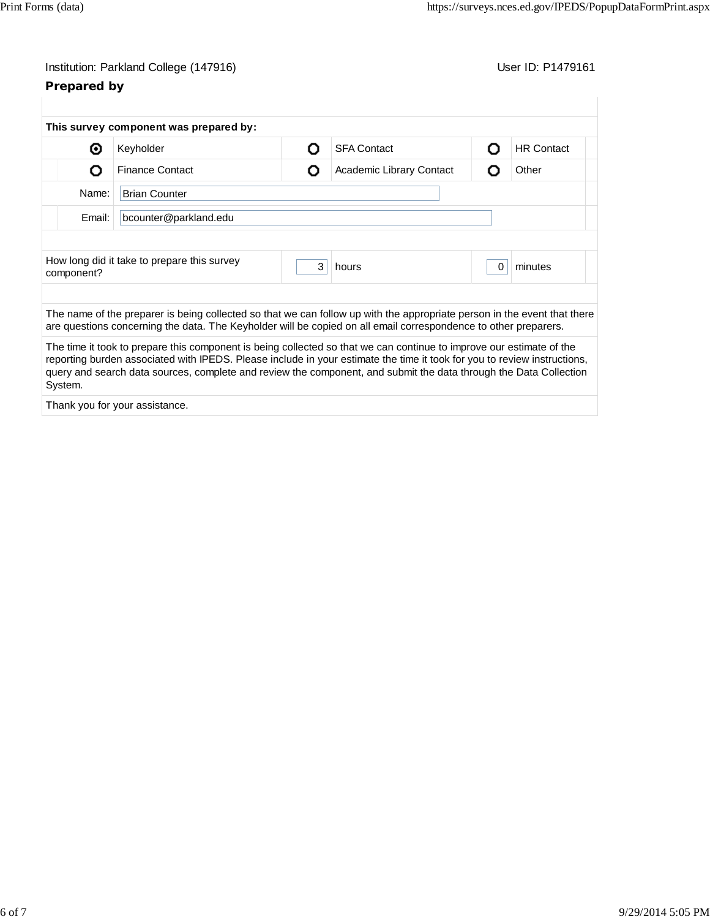# Institution: Parkland College (147916) Contract College (147916)

# **Prepared by**

|                                 | This survey component was prepared by:                                                                                                                                                                                                                                                                                                                                |   |                          |          |                   |
|---------------------------------|-----------------------------------------------------------------------------------------------------------------------------------------------------------------------------------------------------------------------------------------------------------------------------------------------------------------------------------------------------------------------|---|--------------------------|----------|-------------------|
| ⊙                               | Keyholder                                                                                                                                                                                                                                                                                                                                                             | റ | <b>SFA Contact</b>       | O        | <b>HR Contact</b> |
| Ω                               | <b>Finance Contact</b>                                                                                                                                                                                                                                                                                                                                                | O | Academic Library Contact | O        | Other             |
| Name:<br><b>Brian Counter</b>   |                                                                                                                                                                                                                                                                                                                                                                       |   |                          |          |                   |
| Email:<br>bcounter@parkland.edu |                                                                                                                                                                                                                                                                                                                                                                       |   |                          |          |                   |
|                                 |                                                                                                                                                                                                                                                                                                                                                                       |   |                          |          |                   |
| component?                      | How long did it take to prepare this survey                                                                                                                                                                                                                                                                                                                           | 3 | hours                    | $\Omega$ | minutes           |
|                                 |                                                                                                                                                                                                                                                                                                                                                                       |   |                          |          |                   |
|                                 | The name of the preparer is being collected so that we can follow up with the appropriate person in the event that there<br>are questions concerning the data. The Keyholder will be copied on all email correspondence to other preparers.                                                                                                                           |   |                          |          |                   |
| System.                         | The time it took to prepare this component is being collected so that we can continue to improve our estimate of the<br>reporting burden associated with IPEDS. Please include in your estimate the time it took for you to review instructions,<br>query and search data sources, complete and review the component, and submit the data through the Data Collection |   |                          |          |                   |
|                                 |                                                                                                                                                                                                                                                                                                                                                                       |   |                          |          |                   |

Thank you for your assistance.